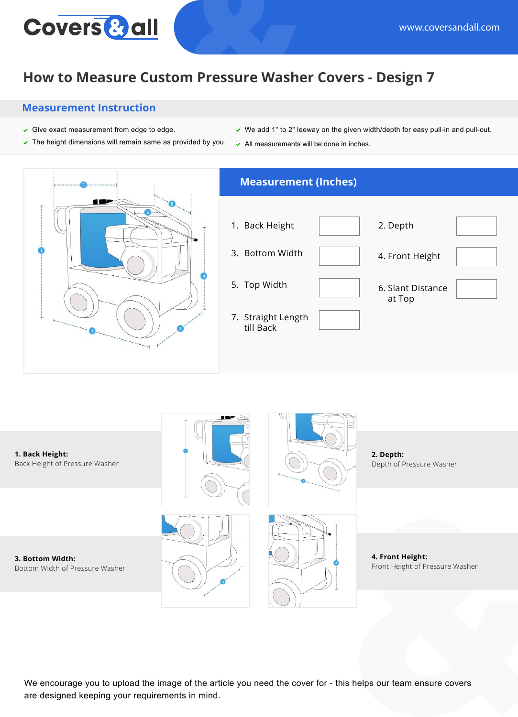## **How to Measure Custom Pressure Washer Covers - Design 7**

#### **Measurement Instruction**

**Covers & all** 

- $\checkmark$  Give exact measurement from edge to edge.
- $\triangledown$  The height dimensions will remain same as provided by you.
- $\vee$  We add 1" to 2" leeway on the given width/depth for easy pull-in and pull-out.
- $\sim$  All measurements will be done in inches.





We encourage you to upload the image of the article you need the cover for - this helps our team ensure covers are designed keeping your requirements in mind.